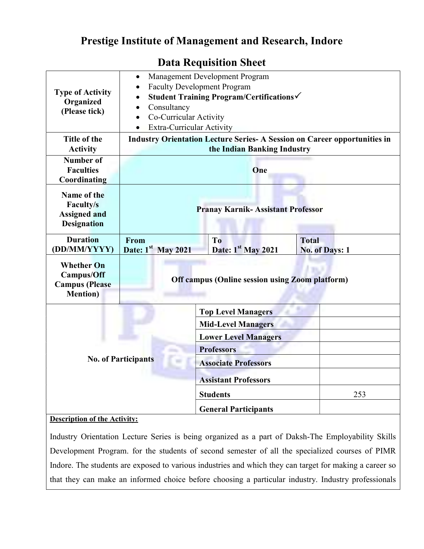## Prestige Institute of Management and Research, Indore

| <b>Type of Activity</b><br>Organized<br>(Please tick)                        | Management Development Program<br>$\bullet$<br><b>Faculty Development Program</b><br>$\bullet$<br>Student Training Program/Certifications√<br>$\bullet$<br>Consultancy<br>$\bullet$<br>Co-Curricular Activity<br>$\bullet$<br>Extra-Curricular Activity<br>$\bullet$ |                                      |                                       |
|------------------------------------------------------------------------------|----------------------------------------------------------------------------------------------------------------------------------------------------------------------------------------------------------------------------------------------------------------------|--------------------------------------|---------------------------------------|
| Title of the<br><b>Activity</b>                                              | <b>Industry Orientation Lecture Series- A Session on Career opportunities in</b><br>the Indian Banking Industry                                                                                                                                                      |                                      |                                       |
| <b>Number of</b><br><b>Faculties</b><br>Coordinating                         | One                                                                                                                                                                                                                                                                  |                                      |                                       |
| Name of the<br><b>Faculty/s</b><br><b>Assigned and</b><br><b>Designation</b> | <b>Pranay Karnik-Assistant Professor</b>                                                                                                                                                                                                                             |                                      |                                       |
| <b>Duration</b><br>(DD/MM/YYYY)                                              | From<br>Date: $1st$ May 2021                                                                                                                                                                                                                                         | T <sub>o</sub><br>Date: 1st May 2021 | <b>Total</b><br><b>No. of Days: 1</b> |
| <b>Whether On</b><br>Campus/Off<br><b>Campus</b> (Please<br><b>Mention</b> ) | <b>Off campus (Online session using Zoom platform)</b>                                                                                                                                                                                                               |                                      |                                       |
|                                                                              | <b>Top Level Managers</b>                                                                                                                                                                                                                                            |                                      |                                       |
|                                                                              |                                                                                                                                                                                                                                                                      | <b>Mid-Level Managers</b>            |                                       |
|                                                                              |                                                                                                                                                                                                                                                                      | <b>Lower Level Managers</b>          |                                       |
| <b>No. of Participants</b>                                                   |                                                                                                                                                                                                                                                                      | <b>Professors</b>                    |                                       |
|                                                                              |                                                                                                                                                                                                                                                                      | <b>Associate Professors</b>          |                                       |
|                                                                              |                                                                                                                                                                                                                                                                      | <b>Assistant Professors</b>          |                                       |
|                                                                              |                                                                                                                                                                                                                                                                      | <b>Students</b>                      | 253                                   |
|                                                                              |                                                                                                                                                                                                                                                                      | <b>General Participants</b>          |                                       |
| <b>Description of the Activity:</b>                                          |                                                                                                                                                                                                                                                                      |                                      |                                       |

## Data Requisition Sheet

Industry Orientation Lecture Series is being organized as a part of Daksh-The Employability Skills Development Program. for the students of second semester of all the specialized courses of PIMR Indore. The students are exposed to various industries and which they can target for making a career so that they can make an informed choice before choosing a particular industry. Industry professionals